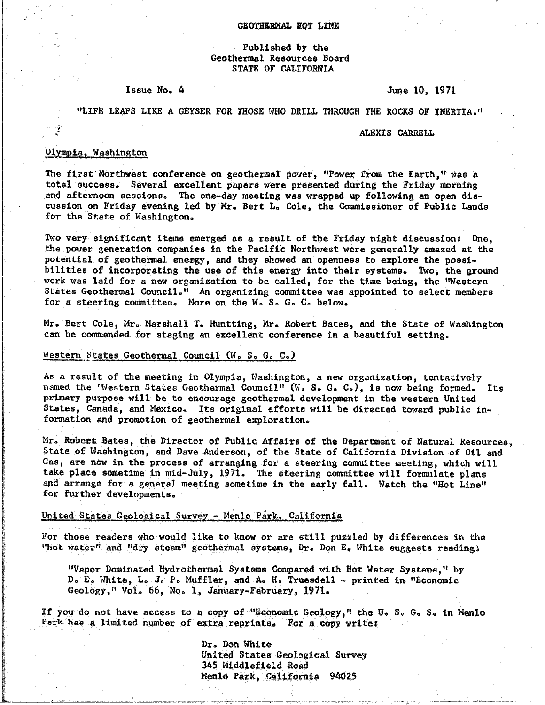## Published by the Geothermal Resources Board STATE OF CALIFORNIA

## Issue No. 4

June 10, 1971

## "LIFE LEAPS LIKE A GEYSER FOR THOSE WHO DRILL THROUGH THE ROCKS OF INERTIA."

#### ALEXIS CARRELL

## Olympia, Washington

The first Northwest conference on geothermal power, "Power from the Earth," was a total success. Several excellent papers were presented during the Friday morning and afternoon sessions. The one-day meeting was wrapped up following an open discussion on Friday evening led by Mr. Bert L. Cole, the Commissioner of Public Lands for the State of Washington.

Two very significant items emerged as a result of the Friday night discussion: One, the power generation companies in the Pacific Northwest were generally amazed at the potential of geothermal energy, and they showed an openness to explore the possibilities of incorporating the use of this energy into their systems. Two, the ground work was laid for a new organization to be called, for the time being, the "Western States Geothermal Council." An organizing committee was appointed to select members for a steering committee. More on the W. S. G. C. below.

Mr. Bert Cole, Mr. Marshall T. Huntting, Mr. Robert Bates, and the State of Washington can be commended for staging an excellent conference in a beautiful setting.

## Western States Geothermal Council (W. S. G. C.)

As a result of the meeting in Olympia, Washington, a new organization, tentatively named the 'Western States Geothermal Council" (W. S. G. C.), is now being formed. Its primary purpose will be to encourage geothermal development in the western United States, Canada, and Mexico. Its original efforts will be directed toward public information and promotion of geothermal exploration.

Mr. Robert Bates, the Director of Public Affairs of the Department of Natural Resources, State of Washington, and Dave Anderson, of the State of California Division of Oil and Gas, are now in the process of arranging for a steering committee meeting, which will take place sometime in mid-July, 1971. The steering committee will formulate plans and arrange for a general meeting sometime in the early fall. Watch the "Hot Line" for further developments.

## United States Geological Survey - Menlo Park, California

For those readers who would like to know or are still puzzled by differences in the "hot water" and "dry steam" geothermal systems, Dr. Don E. White suggests reading:

"Vapor Dominated Hydrothermal Systems Compared with Hot Water Systems," by D. E. White, L. J. P. Muffler, and A. H. Truesdell - printed in "Economic Geology," Vol. 66, No. 1, January-February, 1971.

If you do not have access to a copy of "Economic Geology," the U.S. G.S. in Menlo Park has a limited number of extra reprints. For a copy write:

> Dr. Don White United States Geological Survey 345 Middlefield Road Menlo Park, California 94025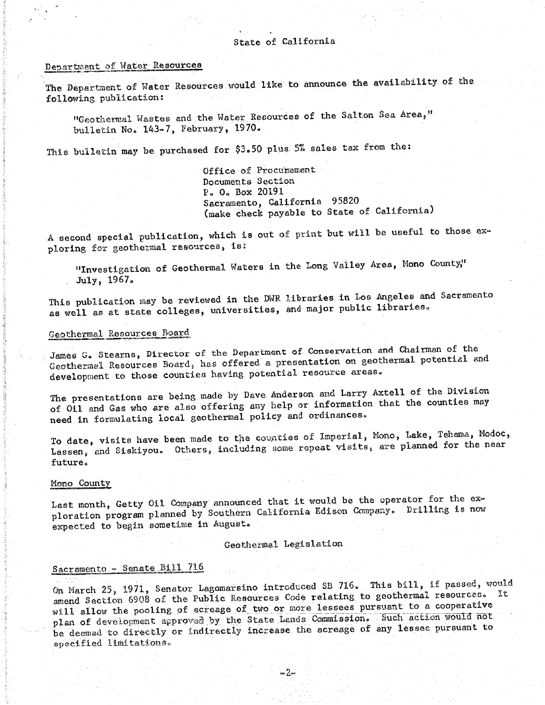## State of California

## Department of Water Resources

The Department of Water Resources would like to announce the availability of the following publication:

"Geothermal Wastes and the Water Resources of the Salton Sea Area," bulletin No. 143-7, February, 1970.

This bulletin may be purchased for \$3.50 plus 5% sales tax from the:

Office of Procumement Documents Section P. O. Box 20191 Sacramento, California 95820 (make check payable to State of California)

A second special publication, which is out of print but will be useful to those exploring for geothermal resources, is:

"Investigation of Geothermal Waters in the Long Valley Area, Mono County," July, 1967.

This publication may be reviewed in the DWR libraries in Los Angeles and Sacramento as well as at state colleges, universities, and major public libraries.

# Geothermal Resources Board

James G. Stearns, Director of the Department of Conservation and Chairman of the Geothermal Resources Board, has offered a presentation on geothermal potential and development to those counties having potential resource areas.

The presentations are being made by Dave Anderson and Larry Axtell of the Division of Oil and Gas who are also offering any help or information that the counties may need in formulating local geothermal policy and ordinances.

To date, visits have been made to the counties of Imperial, Mono, Lake, Tehama, Modoc, Lassen, and Siskiyou. Others, including some repeat visits, are planned for the near future.

## Mono County

Last month, Getty 011 Company announced that it would be the operator for the exploration program planned by Southern California Edison Company. Drilling is now expected to begin sometime in August.

Geothermal Legislation

# Sacramento - Senate Bill 716

On March 25, 1971, Senator Lagomarsino introduced SB 716. This bill, if passed, would amend Section 6908 of the Public Resources Code relating to geothermal resources. It will allow the pooling of acreage of two or more lessees pursuant to a cooperative plan of development approved by the State Lands Commission. Such action would not be deemed to directly or indirectly increase the acreage of any lessee pursuant to specified limitations.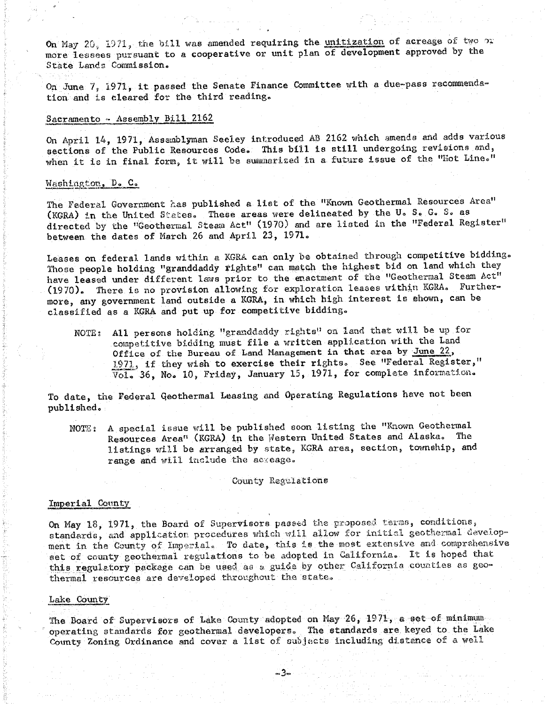$\sum_{i=1}^n a_i$  and  $\sum_{i=1}^n a_i$  is a cooperative or unit plan of development approved by the more lessees pursuan= to a **c**ooperative or unit plan of development approved by the State Lands Commission.

On June 7, 1971, it passed the Senate Finance Committee with a due-pass recommendation and is cleared for the third reading.

# Sacramento - Assembly Bill 2162

On April 14, 1971, Assemblyman Seeley introduced AB 2162 which amends and adds various sections of the Public Resources Code. This bill is still undergoing revisions and, sections of the Public Resources  $\mathbf{f}_1$  is still undergoing from  $\mathbf{f}_2$  the Public Resources  $\mathbf{f}_3$  and,  $\mathbf{f}_4$  and,  $\mathbf{f}_5$  and,  $\mathbf{f}_7$  and,  $\mathbf{f}_8$  and,  $\mathbf{f}_9$  and,  $\mathbf{f}_9$  and,  $\mathbf{f}_9$  and  $\math$ when it is in the internal form, it will be sure is a full be summarized in  $\mathcal{L}$ 

## Washington, D. C.

The Federal Government has published a list of the "Known Geothermal Resources Area"<br>(KGRA) in the United States. These areas were delineated by the U.S. G.S. as directed by the "Geothermal Steam Act" (1970) and are listed in the "Federal Register" between the deten of Morch  $26$  and April  $23$   $1971$ . between the dates of March 26 and April 23, 1971o

Leases on federal lands within a KGRA can only be obtained through competitive bidding.<br>Those people holding "granddaddy rights" can match the highest bid on land which they have leased under different laws prior to the enactment of the "Geothermal Steam Act" (1970). There is no provision allowing for exploration leases within KGRA. Furthermore, any government land outside a KGRA, in which high interest is shown, can be  $m_{\text{max}}$  and  $m_{\text{max}}$  and out up for compatitive hidding. classified as a konstruction put up for competitive bid

NOTE: All persons holding "granddaddy rights" on land that will be up for competitive bidding must file a written application with the Land Office of the Bureau of Land Management in that area by June 22, 1971, if they wish to exercise their rights. See "Federal Register,"  $\overline{y_{c1}}$  36 No. 10 Friday, January 15, 1971, for complete information.  $V$  in  $\mathcal{S}$  in  $\mathcal{S}$  in  $\mathcal{S}$  in  $\mathcal{S}$  information  $\mathcal{S}$  information  $\mathcal{S}$  information  $\mathcal{S}$ 

To date, the Federal Geothermal Leasing and Operating Regulations have not been published.

NOTE: A special issue will be published soon listing the "Known Geothermal Resources Area" (KGRA) in the Western United States and Alaska. The listings will be arranged by state, KGRA area, section, township, and  $\frac{1}{2}$  is the arranged by state  $\frac{1}{2}$  arranged by state  $\frac{1}{2}$  are and section, township\_ and section, township\_ and section, township\_ and section, township\_ and section, township\_ and section, township\_ and se range and will include the account

#### County Regulations

Imperial County<br>On May 18, 1971, the Board of Supervisors passed the proposed terms, conditions, standards, and application procedures which will allow for initial geothermal development in the County of Imperial. To date, this is the most extensive and comprehensive set of county geothermal regulations to be adopted in California. It is hoped that this regulatory package can be used as a guide by other California counties as geo $t_{\text{thermal}}$ , package can developed throughout the state.  $\frac{1}{2}$ 

#### Lake County

The Board of Supervisors of Lake County adopted on May 26, 1971, a set of minimum<br>operating standards for geothermal developers. The standards are keyed to the Lake  $\overline{r}$  states for geotian and geotian states for  $\overline{r}$  and  $\overline{r}$  are  $\overline{r}$  are  $\overline{r}$  are  $\overline{r}$  and  $\overline{r}$ County Zoning Ordinan**c**e and cover a list of subjects including distance of a well

-3-